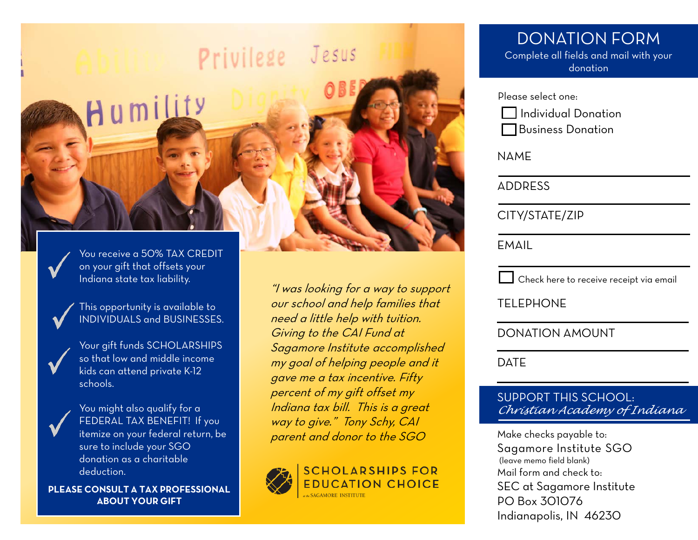

You receive a 50% TAX CREDIT on your gift that offsets your Indiana state tax liability.



This opportunity is available to INDIVIDUALS and BUSINESSES.

Your gift funds SCHOLARSHIPS so that low and middle income kids can attend private K-12 schools.



You might also qualify for a FEDERAL TAX BENEFIT! If you itemize on your federal return, be sure to include your SGO donation as a charitable deduction.

**PLEASE CONSULT A TAX PROFESSIONAL ABOUT YOUR GIFT**

"I was looking for a way to support our school and help families that need a little help with tuition. Giving to the CAI Fund at Sagamore Institute accomplished my goal of helping people and it gave me a tax incentive. Fifty percent of my gift offset my Indiana tax bill. This is a great way to give." Tony Schy, CAI parent and donor to the SGO



# DONATION FORM

Complete all fields and mail with your donation

Please select one:

 $\Box$  Individual Donation Business Donation

NAME

ADDRESS

CITY/STATE/ZIP

EMAIL

 $\Box$  Check here to receive receipt via email

TELEPHONE

DONATION AMOUNT

DATE

#### SUPPORT THIS SCHOOL: *Christian Academy of Indiana*

Make checks payable to: Sagamore Institute SGO (leave memo field blank) Mail form and check to: SEC at Sagamore Institute PO Box 301076 Indianapolis, IN 46230